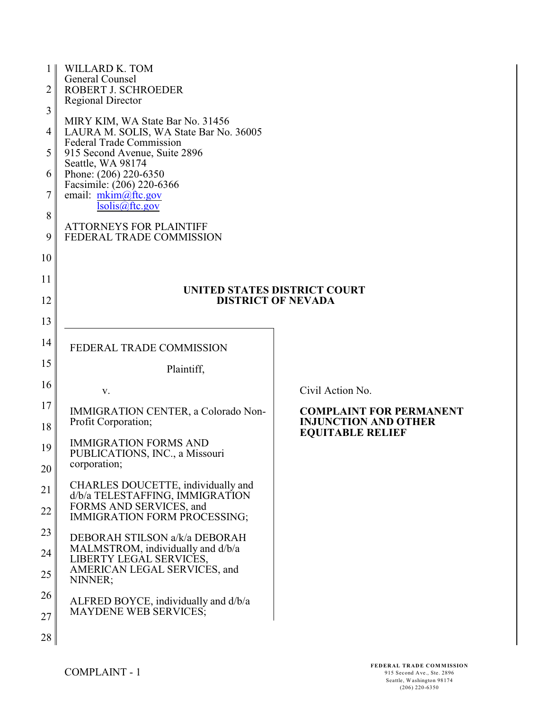| 1 <sub>1</sub> | WILLARD K. TOM                                                        |                                                        |
|----------------|-----------------------------------------------------------------------|--------------------------------------------------------|
|                | General Counsel                                                       |                                                        |
| $\overline{2}$ | ROBERT J. SCHROEDER                                                   |                                                        |
| 3              | <b>Regional Director</b>                                              |                                                        |
|                | MIRY KIM, WA State Bar No. 31456                                      |                                                        |
| 4              | LAURA M. SOLIS, WA State Bar No. 36005                                |                                                        |
|                | <b>Federal Trade Commission</b>                                       |                                                        |
| 5              | 915 Second Avenue, Suite 2896                                         |                                                        |
|                | Seattle, WA 98174                                                     |                                                        |
| 6              | Phone: (206) 220-6350<br>Facsimile: (206) 220-6366                    |                                                        |
| $\tau$         | email: $m\nkim(\omega)$ ftc.gov                                       |                                                        |
|                | Isolis@ftc.gov                                                        |                                                        |
| 8              |                                                                       |                                                        |
| 9              | <b>ATTORNEYS FOR PLAINTIFF</b><br>FEDERAL TRADE COMMISSION            |                                                        |
|                |                                                                       |                                                        |
| 10             |                                                                       |                                                        |
|                |                                                                       |                                                        |
| 11             |                                                                       |                                                        |
| 12             | UNITED STATES DISTRICT COURT<br><b>DISTRICT OF NEVADA</b>             |                                                        |
|                |                                                                       |                                                        |
| 13             |                                                                       |                                                        |
|                |                                                                       |                                                        |
| 14             | FEDERAL TRADE COMMISSION                                              |                                                        |
| 15             |                                                                       |                                                        |
|                | Plaintiff,                                                            |                                                        |
| 16             | V.                                                                    | Civil Action No.                                       |
| 17             |                                                                       |                                                        |
|                | IMMIGRATION CENTER, a Colorado Non-                                   | <b>COMPLAINT FOR PERMANENT</b>                         |
| 18             | Profit Corporation;                                                   | <b>INJUNCTION AND OTHER</b><br><b>EQUITABLE RELIEF</b> |
|                | <b>IMMIGRATION FORMS AND</b>                                          |                                                        |
| 19             | PUBLICATIONS, INC., a Missouri                                        |                                                        |
| 20             | corporation;                                                          |                                                        |
|                |                                                                       |                                                        |
| 21             | CHARLES DOUCETTE, individually and<br>d/b/a TELESTAFFING, IMMIGRATION |                                                        |
|                | FORMS AND SERVICES, and                                               |                                                        |
| 22             | <b>IMMIGRATION FORM PROCESSING;</b>                                   |                                                        |
| 23             |                                                                       |                                                        |
|                | DEBORAH STILSON a/k/a DEBORAH                                         |                                                        |
| 24             | MALMSTROM, individually and d/b/a                                     |                                                        |
|                | LIBERTY LEGAL SERVICES,<br>AMERICAN LEGAL SERVICES, and               |                                                        |
| 25             | NINNER;                                                               |                                                        |
| 26             |                                                                       |                                                        |
|                | ALFRED BOYCE, individually and d/b/a                                  |                                                        |
| 27             | <b>MAYDENE WEB SERVICES;</b>                                          |                                                        |
|                |                                                                       |                                                        |
| 28             |                                                                       |                                                        |
|                |                                                                       |                                                        |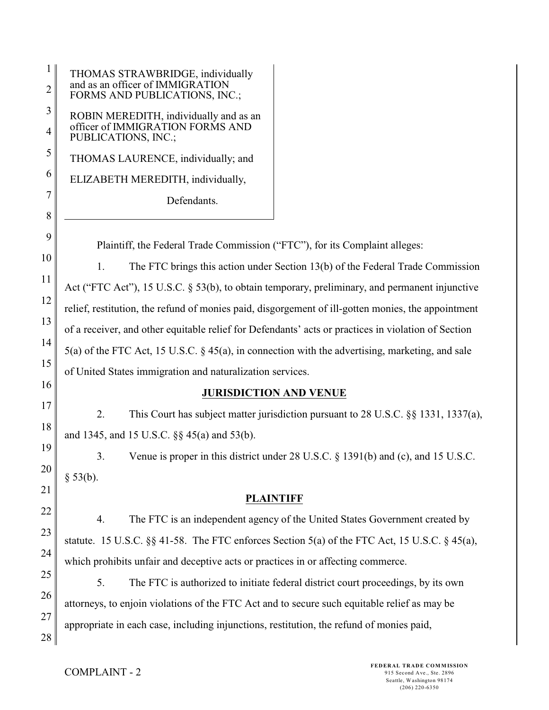| 1<br>2   | THOMAS STRAWBRIDGE, individually<br>and as an officer of IMMIGRATION<br>FORMS AND PUBLICATIONS, INC.; |
|----------|-------------------------------------------------------------------------------------------------------|
| 3<br>4   | ROBIN MEREDITH, individually and as an<br>officer of IMMIGRATION FORMS AND<br>PUBLICATIONS, INC.;     |
| 5        | THOMAS LAURENCE, individually; and                                                                    |
| 6        | ELIZABETH MEREDITH, individually,                                                                     |
| 7        | Defendants.                                                                                           |
| 8        |                                                                                                       |
| 9        | Plaintiff, the Federal Trade Commission ("FTC"), for its Complaint alleges:                           |
| 10       | The FTC brings this action under Section 13(b) of the Federal Trade Commission<br>1.                  |
| 11       | Act ("FTC Act"), 15 U.S.C. § 53(b), to obtain temporary, preliminary, and permanent injunctive        |
| 12       | relief, restitution, the refund of monies paid, disgorgement of ill-gotten monies, the appointment    |
| 13       | of a receiver, and other equitable relief for Defendants' acts or practices in violation of Section   |
| 14       | $5(a)$ of the FTC Act, 15 U.S.C. § 45(a), in connection with the advertising, marketing, and sale     |
| 15       | of United States immigration and naturalization services.                                             |
| 16       | <b>JURISDICTION AND VENUE</b>                                                                         |
| 17       | 2.<br>This Court has subject matter jurisdiction pursuant to 28 U.S.C. §§ 1331, 1337(a),              |
| 18       | and 1345, and 15 U.S.C. §§ 45(a) and 53(b).                                                           |
| 19       | Venue is proper in this district under 28 U.S.C. § 1391(b) and (c), and 15 U.S.C.<br>3.               |
| 20       | § 53(b).                                                                                              |
| 21       | <b>PLAINTIFF</b>                                                                                      |
| 22       | The FTC is an independent agency of the United States Government created by<br>4.                     |
| 23       | statute. 15 U.S.C. §§ 41-58. The FTC enforces Section 5(a) of the FTC Act, 15 U.S.C. § 45(a),         |
| 24       | which prohibits unfair and deceptive acts or practices in or affecting commerce.                      |
| 25       | 5.<br>The FTC is authorized to initiate federal district court proceedings, by its own                |
| 26       | attorneys, to enjoin violations of the FTC Act and to secure such equitable relief as may be          |
| 27<br>28 | appropriate in each case, including injunctions, restitution, the refund of monies paid,              |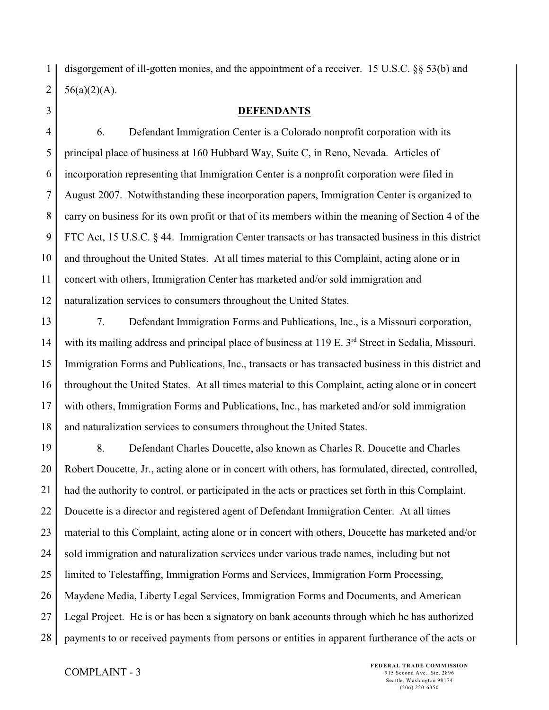1 2 disgorgement of ill-gotten monies, and the appointment of a receiver. 15 U.S.C. §§ 53(b) and  $56(a)(2)(A)$ .

3

#### **DEFENDANTS**

4 5 6 7 8 9 10 11 12 6. Defendant Immigration Center is a Colorado nonprofit corporation with its principal place of business at 160 Hubbard Way, Suite C, in Reno, Nevada. Articles of incorporation representing that Immigration Center is a nonprofit corporation were filed in August 2007. Notwithstanding these incorporation papers, Immigration Center is organized to carry on business for its own profit or that of its members within the meaning of Section 4 of the FTC Act, 15 U.S.C. § 44. Immigration Center transacts or has transacted business in this district and throughout the United States. At all times material to this Complaint, acting alone or in concert with others, Immigration Center has marketed and/or sold immigration and naturalization services to consumers throughout the United States.

13 14 15 16 17 18 7. Defendant Immigration Forms and Publications, Inc., is a Missouri corporation, with its mailing address and principal place of business at  $119 \text{ E}$ .  $3^{\text{rd}}$  Street in Sedalia, Missouri. Immigration Forms and Publications, Inc., transacts or has transacted business in this district and throughout the United States. At all times material to this Complaint, acting alone or in concert with others, Immigration Forms and Publications, Inc., has marketed and/or sold immigration and naturalization services to consumers throughout the United States.

19 20 21 22 23 24 25 26 27 28 8. Defendant Charles Doucette, also known as Charles R. Doucette and Charles Robert Doucette, Jr., acting alone or in concert with others, has formulated, directed, controlled, had the authority to control, or participated in the acts or practices set forth in this Complaint. Doucette is a director and registered agent of Defendant Immigration Center. At all times material to this Complaint, acting alone or in concert with others, Doucette has marketed and/or sold immigration and naturalization services under various trade names, including but not limited to Telestaffing, Immigration Forms and Services, Immigration Form Processing, Maydene Media, Liberty Legal Services, Immigration Forms and Documents, and American Legal Project. He is or has been a signatory on bank accounts through which he has authorized payments to or received payments from persons or entities in apparent furtherance of the acts or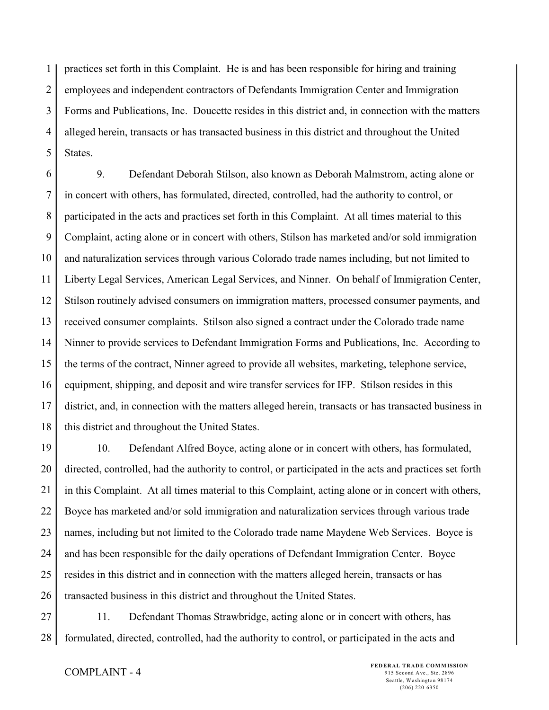1 2 3 4 5 practices set forth in this Complaint. He is and has been responsible for hiring and training employees and independent contractors of Defendants Immigration Center and Immigration Forms and Publications, Inc. Doucette resides in this district and, in connection with the matters alleged herein, transacts or has transacted business in this district and throughout the United States.

6 7 8 9 10 11 12 13 14 15 16 17 18 9. Defendant Deborah Stilson, also known as Deborah Malmstrom, acting alone or in concert with others, has formulated, directed, controlled, had the authority to control, or participated in the acts and practices set forth in this Complaint. At all times material to this Complaint, acting alone or in concert with others, Stilson has marketed and/or sold immigration and naturalization services through various Colorado trade names including, but not limited to Liberty Legal Services, American Legal Services, and Ninner. On behalf of Immigration Center, Stilson routinely advised consumers on immigration matters, processed consumer payments, and received consumer complaints. Stilson also signed a contract under the Colorado trade name Ninner to provide services to Defendant Immigration Forms and Publications, Inc. According to the terms of the contract, Ninner agreed to provide all websites, marketing, telephone service, equipment, shipping, and deposit and wire transfer services for IFP. Stilson resides in this district, and, in connection with the matters alleged herein, transacts or has transacted business in this district and throughout the United States.

19 20 21 22 23 24 25 26 10. Defendant Alfred Boyce, acting alone or in concert with others, has formulated, directed, controlled, had the authority to control, or participated in the acts and practices set forth in this Complaint. At all times material to this Complaint, acting alone or in concert with others, Boyce has marketed and/or sold immigration and naturalization services through various trade names, including but not limited to the Colorado trade name Maydene Web Services. Boyce is and has been responsible for the daily operations of Defendant Immigration Center. Boyce resides in this district and in connection with the matters alleged herein, transacts or has transacted business in this district and throughout the United States.

27 28 11. Defendant Thomas Strawbridge, acting alone or in concert with others, has formulated, directed, controlled, had the authority to control, or participated in the acts and

## COMPLAINT - 4

**FEDERAL TRADE COMMISSION** 915 Second Ave., Ste. 2896 Seattle, Washington 98174 (206) 220-6350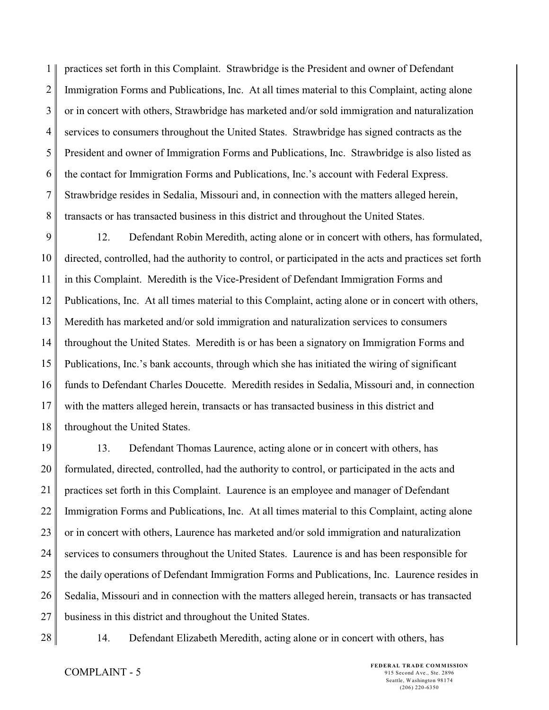1 2 3 4 5 6 7 8 practices set forth in this Complaint. Strawbridge is the President and owner of Defendant Immigration Forms and Publications, Inc. At all times material to this Complaint, acting alone or in concert with others, Strawbridge has marketed and/or sold immigration and naturalization services to consumers throughout the United States. Strawbridge has signed contracts as the President and owner of Immigration Forms and Publications, Inc. Strawbridge is also listed as the contact for Immigration Forms and Publications, Inc.'s account with Federal Express. Strawbridge resides in Sedalia, Missouri and, in connection with the matters alleged herein, transacts or has transacted business in this district and throughout the United States.

9 10 11 12 13 14 15 16 17 18 12. Defendant Robin Meredith, acting alone or in concert with others, has formulated, directed, controlled, had the authority to control, or participated in the acts and practices set forth in this Complaint. Meredith is the Vice-President of Defendant Immigration Forms and Publications, Inc. At all times material to this Complaint, acting alone or in concert with others, Meredith has marketed and/or sold immigration and naturalization services to consumers throughout the United States. Meredith is or has been a signatory on Immigration Forms and Publications, Inc.'s bank accounts, through which she has initiated the wiring of significant funds to Defendant Charles Doucette. Meredith resides in Sedalia, Missouri and, in connection with the matters alleged herein, transacts or has transacted business in this district and throughout the United States.

19 20 21 22 23 24 25 26 27 13. Defendant Thomas Laurence, acting alone or in concert with others, has formulated, directed, controlled, had the authority to control, or participated in the acts and practices set forth in this Complaint. Laurence is an employee and manager of Defendant Immigration Forms and Publications, Inc. At all times material to this Complaint, acting alone or in concert with others, Laurence has marketed and/or sold immigration and naturalization services to consumers throughout the United States. Laurence is and has been responsible for the daily operations of Defendant Immigration Forms and Publications, Inc. Laurence resides in Sedalia, Missouri and in connection with the matters alleged herein, transacts or has transacted business in this district and throughout the United States.

28

14. Defendant Elizabeth Meredith, acting alone or in concert with others, has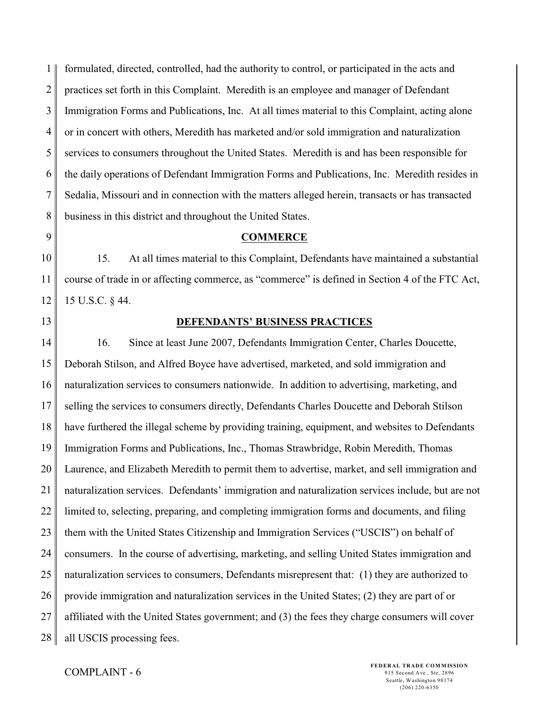1 2 3 4 5 6 7 8 formulated, directed, controlled, had the authority to control, or participated in the acts and practices set forth in this Complaint. Meredith is an employee and manager of Defendant Immigration Forms and Publications, Inc. At all times material to this Complaint, acting alone or in concert with others, Meredith has marketed and/or sold immigration and naturalization services to consumers throughout the United States. Meredith is and has been responsible for the daily operations of Defendant Immigration Forms and Publications, Inc. Meredith resides in Sedalia, Missouri and in connection with the matters alleged herein, transacts or has transacted business in this district and throughout the United States.

9

### **COMMERCE**

10 11 12 15. At all times material to this Complaint, Defendants have maintained a substantial course of trade in or affecting commerce, as "commerce" is defined in Section 4 of the FTC Act, 15 U.S.C. § 44.

13

#### **DEFENDANTS' BUSINESS PRACTICES**

14 15 16 17 18 19 20 21 22 23 24 25 26 27 28 16. Since at least June 2007, Defendants Immigration Center, Charles Doucette, Deborah Stilson, and Alfred Boyce have advertised, marketed, and sold immigration and naturalization services to consumers nationwide. In addition to advertising, marketing, and selling the services to consumers directly, Defendants Charles Doucette and Deborah Stilson have furthered the illegal scheme by providing training, equipment, and websites to Defendants Immigration Forms and Publications, Inc., Thomas Strawbridge, Robin Meredith, Thomas Laurence, and Elizabeth Meredith to permit them to advertise, market, and sell immigration and naturalization services. Defendants' immigration and naturalization services include, but are not limited to, selecting, preparing, and completing immigration forms and documents, and filing them with the United States Citizenship and Immigration Services ("USCIS") on behalf of consumers. In the course of advertising, marketing, and selling United States immigration and naturalization services to consumers, Defendants misrepresent that: (1) they are authorized to provide immigration and naturalization services in the United States; (2) they are part of or affiliated with the United States government; and (3) the fees they charge consumers will cover all USCIS processing fees.

## COMPLAINT - 6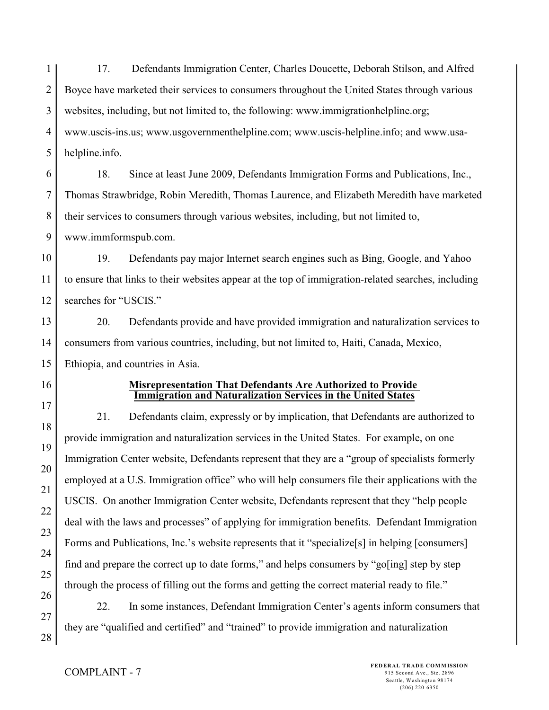1 2 3 4 5 17. Defendants Immigration Center, Charles Doucette, Deborah Stilson, and Alfred Boyce have marketed their services to consumers throughout the United States through various websites, including, but not limited to, the following: www.immigrationhelpline.org; www.uscis-ins.us; www.usgovernmenthelpline.com; www.uscis-helpline.info; and www.usahelpline.info.

6 7 8 9 18. Since at least June 2009, Defendants Immigration Forms and Publications, Inc., Thomas Strawbridge, Robin Meredith, Thomas Laurence, and Elizabeth Meredith have marketed their services to consumers through various websites, including, but not limited to, www.immformspub.com.

10 11 12 19. Defendants pay major Internet search engines such as Bing, Google, and Yahoo to ensure that links to their websites appear at the top of immigration-related searches, including searches for "USCIS."

13 14 15 20. Defendants provide and have provided immigration and naturalization services to consumers from various countries, including, but not limited to, Haiti, Canada, Mexico, Ethiopia, and countries in Asia.

16

17

18

19

20

21

22

23

24

25

26

27

28

### **Misrepresentation That Defendants Are Authorized to Provide Immigration and Naturalization Services in the United States**

21. Defendants claim, expressly or by implication, that Defendants are authorized to provide immigration and naturalization services in the United States. For example, on one Immigration Center website, Defendants represent that they are a "group of specialists formerly employed at a U.S. Immigration office" who will help consumers file their applications with the USCIS. On another Immigration Center website, Defendants represent that they "help people deal with the laws and processes" of applying for immigration benefits. Defendant Immigration Forms and Publications, Inc.'s website represents that it "specialize[s] in helping [consumers] find and prepare the correct up to date forms," and helps consumers by "go[ing] step by step through the process of filling out the forms and getting the correct material ready to file."

22. In some instances, Defendant Immigration Center's agents inform consumers that they are "qualified and certified" and "trained" to provide immigration and naturalization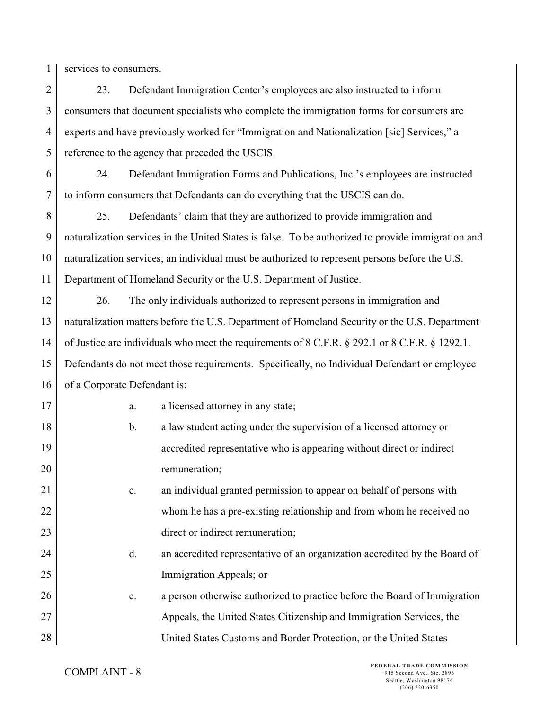1 services to consumers.

2 3 4 5 23. Defendant Immigration Center's employees are also instructed to inform consumers that document specialists who complete the immigration forms for consumers are experts and have previously worked for "Immigration and Nationalization [sic] Services," a reference to the agency that preceded the USCIS.

6 7 24. Defendant Immigration Forms and Publications, Inc.'s employees are instructed to inform consumers that Defendants can do everything that the USCIS can do.

8 9 10 11 25. Defendants' claim that they are authorized to provide immigration and naturalization services in the United States is false. To be authorized to provide immigration and naturalization services, an individual must be authorized to represent persons before the U.S. Department of Homeland Security or the U.S. Department of Justice.

12 13 14 15 16 26. The only individuals authorized to represent persons in immigration and naturalization matters before the U.S. Department of Homeland Security or the U.S. Department of Justice are individuals who meet the requirements of 8 C.F.R. § 292.1 or 8 C.F.R. § 1292.1. Defendants do not meet those requirements. Specifically, no Individual Defendant or employee of a Corporate Defendant is:

| 17 | a.             | a licensed attorney in any state;                                          |
|----|----------------|----------------------------------------------------------------------------|
| 18 | b.             | a law student acting under the supervision of a licensed attorney or       |
| 19 |                | accredited representative who is appearing without direct or indirect      |
| 20 |                | remuneration;                                                              |
| 21 | $\mathbf{c}$ . | an individual granted permission to appear on behalf of persons with       |
| 22 |                | whom he has a pre-existing relationship and from whom he received no       |
| 23 |                | direct or indirect remuneration;                                           |
| 24 | d.             | an accredited representative of an organization accredited by the Board of |
| 25 |                | Immigration Appeals; or                                                    |
| 26 | e.             | a person otherwise authorized to practice before the Board of Immigration  |
| 27 |                | Appeals, the United States Citizenship and Immigration Services, the       |
| 28 |                | United States Customs and Border Protection, or the United States          |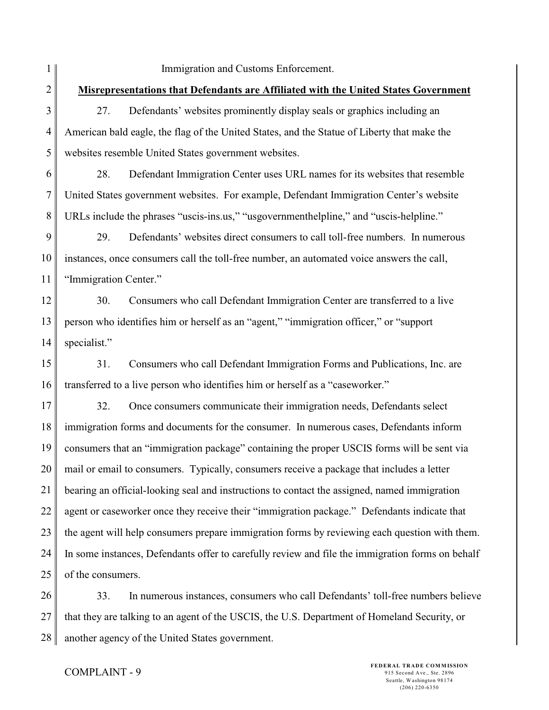1 2 3 4 5 6 7 8 9 10 11 12 13 14 15 16 17 18 19 20 21 22 23 24 25 26 Immigration and Customs Enforcement. **Misrepresentations that Defendants are Affiliated with the United States Government** 27. Defendants' websites prominently display seals or graphics including an American bald eagle, the flag of the United States, and the Statue of Liberty that make the websites resemble United States government websites. 28. Defendant Immigration Center uses URL names for its websites that resemble United States government websites. For example, Defendant Immigration Center's website URLs include the phrases "uscis-ins.us," "usgovernmenthelpline," and "uscis-helpline." 29. Defendants' websites direct consumers to call toll-free numbers. In numerous instances, once consumers call the toll-free number, an automated voice answers the call, "Immigration Center." 30. Consumers who call Defendant Immigration Center are transferred to a live person who identifies him or herself as an "agent," "immigration officer," or "support specialist." 31. Consumers who call Defendant Immigration Forms and Publications, Inc. are transferred to a live person who identifies him or herself as a "caseworker." 32. Once consumers communicate their immigration needs, Defendants select immigration forms and documents for the consumer. In numerous cases, Defendants inform consumers that an "immigration package" containing the proper USCIS forms will be sent via mail or email to consumers. Typically, consumers receive a package that includes a letter bearing an official-looking seal and instructions to contact the assigned, named immigration agent or caseworker once they receive their "immigration package." Defendants indicate that the agent will help consumers prepare immigration forms by reviewing each question with them. In some instances, Defendants offer to carefully review and file the immigration forms on behalf of the consumers. 33. In numerous instances, consumers who call Defendants' toll-free numbers believe

27 28 that they are talking to an agent of the USCIS, the U.S. Department of Homeland Security, or another agency of the United States government.

## COMPLAINT - 9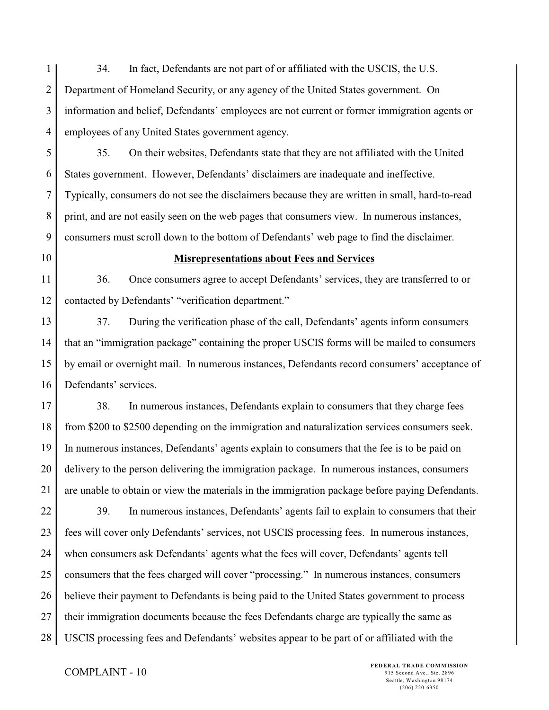1 2 3 4 34. In fact, Defendants are not part of or affiliated with the USCIS, the U.S. Department of Homeland Security, or any agency of the United States government. On information and belief, Defendants' employees are not current or former immigration agents or employees of any United States government agency.

5 6 7 8 9 35. On their websites, Defendants state that they are not affiliated with the United States government. However, Defendants' disclaimers are inadequate and ineffective. Typically, consumers do not see the disclaimers because they are written in small, hard-to-read print, and are not easily seen on the web pages that consumers view. In numerous instances, consumers must scroll down to the bottom of Defendants' web page to find the disclaimer.

10

#### **Misrepresentations about Fees and Services**

11 12 36. Once consumers agree to accept Defendants' services, they are transferred to or contacted by Defendants' "verification department."

13 14 15 16 37. During the verification phase of the call, Defendants' agents inform consumers that an "immigration package" containing the proper USCIS forms will be mailed to consumers by email or overnight mail. In numerous instances, Defendants record consumers' acceptance of Defendants' services.

17 18 19 20 21 38. In numerous instances, Defendants explain to consumers that they charge fees from \$200 to \$2500 depending on the immigration and naturalization services consumers seek. In numerous instances, Defendants' agents explain to consumers that the fee is to be paid on delivery to the person delivering the immigration package. In numerous instances, consumers are unable to obtain or view the materials in the immigration package before paying Defendants.

22 23 24 25 26 27 28 39. In numerous instances, Defendants' agents fail to explain to consumers that their fees will cover only Defendants' services, not USCIS processing fees. In numerous instances, when consumers ask Defendants' agents what the fees will cover, Defendants' agents tell consumers that the fees charged will cover "processing." In numerous instances, consumers believe their payment to Defendants is being paid to the United States government to process their immigration documents because the fees Defendants charge are typically the same as USCIS processing fees and Defendants' websites appear to be part of or affiliated with the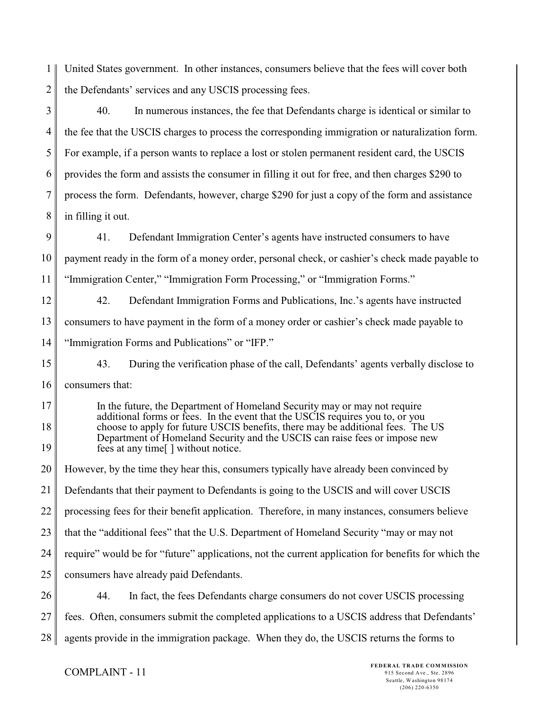1 2 United States government. In other instances, consumers believe that the fees will cover both the Defendants' services and any USCIS processing fees.

3 4 5 6 7 8 40. In numerous instances, the fee that Defendants charge is identical or similar to the fee that the USCIS charges to process the corresponding immigration or naturalization form. For example, if a person wants to replace a lost or stolen permanent resident card, the USCIS provides the form and assists the consumer in filling it out for free, and then charges \$290 to process the form. Defendants, however, charge \$290 for just a copy of the form and assistance in filling it out.

9 10 11 41. Defendant Immigration Center's agents have instructed consumers to have payment ready in the form of a money order, personal check, or cashier's check made payable to "Immigration Center," "Immigration Form Processing," or "Immigration Forms."

12 13 14 42. Defendant Immigration Forms and Publications, Inc.'s agents have instructed consumers to have payment in the form of a money order or cashier's check made payable to "Immigration Forms and Publications" or "IFP."

15 16 43. During the verification phase of the call, Defendants' agents verbally disclose to consumers that:

17 18 19 In the future, the Department of Homeland Security may or may not require additional forms or fees. In the event that the USCIS requires you to, or you choose to apply for future USCIS benefits, there may be additional fees. The US Department of Homeland Security and the USCIS can raise fees or impose new fees at any time[ ] without notice.

20 21 22 23 24 25 However, by the time they hear this, consumers typically have already been convinced by Defendants that their payment to Defendants is going to the USCIS and will cover USCIS processing fees for their benefit application. Therefore, in many instances, consumers believe that the "additional fees" that the U.S. Department of Homeland Security "may or may not require" would be for "future" applications, not the current application for benefits for which the consumers have already paid Defendants.

26 27 44. In fact, the fees Defendants charge consumers do not cover USCIS processing fees. Often, consumers submit the completed applications to a USCIS address that Defendants'

28 agents provide in the immigration package. When they do, the USCIS returns the forms to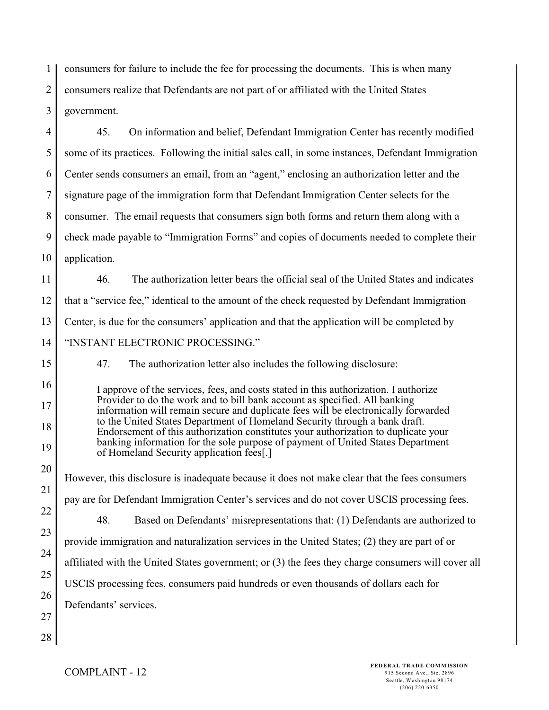1 2 3 consumers for failure to include the fee for processing the documents. This is when many consumers realize that Defendants are not part of or affiliated with the United States government.

4 5 6 7 8 9 10 45. On information and belief, Defendant Immigration Center has recently modified some of its practices. Following the initial sales call, in some instances, Defendant Immigration Center sends consumers an email, from an "agent," enclosing an authorization letter and the signature page of the immigration form that Defendant Immigration Center selects for the consumer. The email requests that consumers sign both forms and return them along with a check made payable to "Immigration Forms" and copies of documents needed to complete their application.

11 12 13 14 46. The authorization letter bears the official seal of the United States and indicates that a "service fee," identical to the amount of the check requested by Defendant Immigration Center, is due for the consumers' application and that the application will be completed by "INSTANT ELECTRONIC PROCESSING."

47. The authorization letter also includes the following disclosure:

I approve of the services, fees, and costs stated in this authorization. I authorize Provider to do the work and to bill bank account as specified. All banking information will remain secure and duplicate fees will be electronically forwarded to the United States Department of Homeland Security through a bank draft. Endorsement of this authorization constitutes your authorization to duplicate your banking information for the sole purpose of payment of United States Department of Homeland Security application fees[.]

20 21 22 23 24 25 26 27 However, this disclosure is inadequate because it does not make clear that the fees consumers pay are for Defendant Immigration Center's services and do not cover USCIS processing fees. 48. Based on Defendants' misrepresentations that: (1) Defendants are authorized to provide immigration and naturalization services in the United States; (2) they are part of or affiliated with the United States government; or (3) the fees they charge consumers will cover all USCIS processing fees, consumers paid hundreds or even thousands of dollars each for Defendants' services.

28

15

16

17

18

19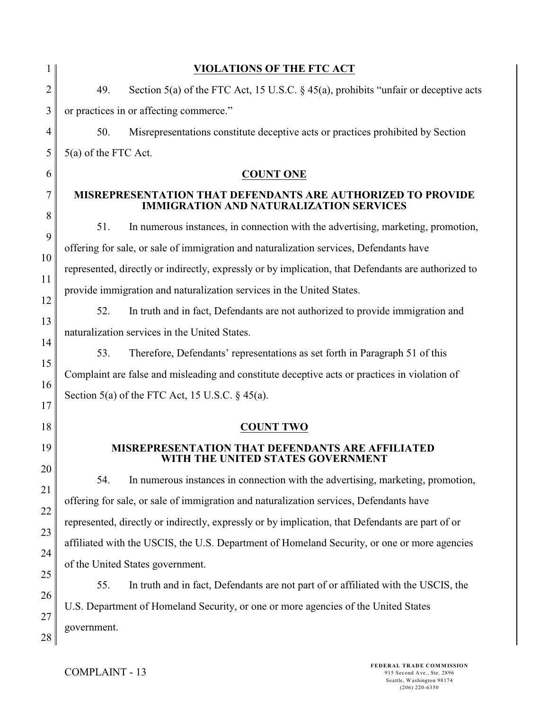|          | <b>VIOLATIONS OF THE FTC ACT</b>                                                                                     |
|----------|----------------------------------------------------------------------------------------------------------------------|
| 2        | 49.<br>Section 5(a) of the FTC Act, 15 U.S.C. $\S$ 45(a), prohibits "unfair or deceptive acts                        |
| 3        | or practices in or affecting commerce."                                                                              |
| 4        | Misrepresentations constitute deceptive acts or practices prohibited by Section<br>50.                               |
| 5        | 5(a) of the FTC Act.                                                                                                 |
| 6        | <b>COUNT ONE</b>                                                                                                     |
| 7        | <b>MISREPRESENTATION THAT DEFENDANTS ARE AUTHORIZED TO PROVIDE</b><br><b>IMMIGRATION AND NATURALIZATION SERVICES</b> |
| 8        | 51.<br>In numerous instances, in connection with the advertising, marketing, promotion,                              |
| 9        | offering for sale, or sale of immigration and naturalization services, Defendants have                               |
| 10<br>11 | represented, directly or indirectly, expressly or by implication, that Defendants are authorized to                  |
| 12       | provide immigration and naturalization services in the United States.                                                |
| 13       | 52.<br>In truth and in fact, Defendants are not authorized to provide immigration and                                |
| 14       | naturalization services in the United States.                                                                        |
| 15       | Therefore, Defendants' representations as set forth in Paragraph 51 of this<br>53.                                   |
| 16       | Complaint are false and misleading and constitute deceptive acts or practices in violation of                        |
| 17       | Section 5(a) of the FTC Act, 15 U.S.C. $\S$ 45(a).                                                                   |
| 18       | <b>COUNT TWO</b>                                                                                                     |
| 19       | <b>MISREPRESENTATION THAT DEFENDANTS ARE AFFILIATED</b><br>WITH THE UNITED STATES GOVERNMENT                         |
| 20       | 54.<br>In numerous instances in connection with the advertising, marketing, promotion,                               |
| 21<br>22 | offering for sale, or sale of immigration and naturalization services, Defendants have                               |
| 23       | represented, directly or indirectly, expressly or by implication, that Defendants are part of or                     |
| 24       | affiliated with the USCIS, the U.S. Department of Homeland Security, or one or more agencies                         |
| 25       | of the United States government.                                                                                     |
| 26       | In truth and in fact, Defendants are not part of or affiliated with the USCIS, the<br>55.                            |
| 27       | U.S. Department of Homeland Security, or one or more agencies of the United States                                   |
| 28       | government.                                                                                                          |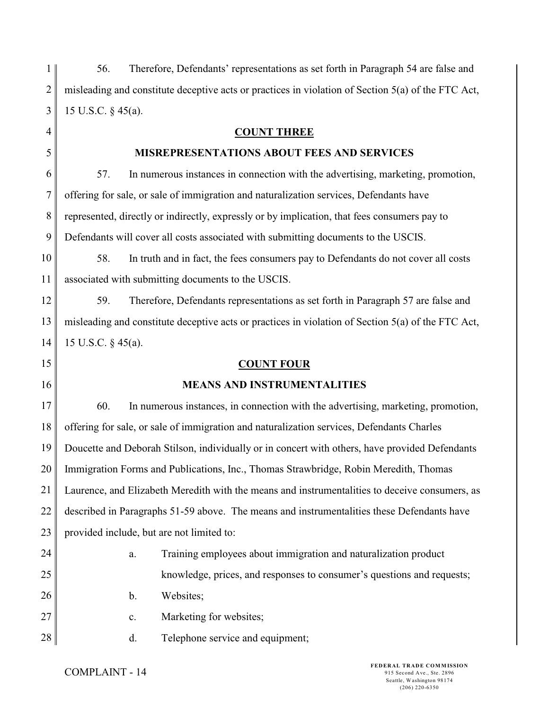| $\mathbf{1}$ | 56.                |                | Therefore, Defendants' representations as set forth in Paragraph 54 are false and                  |
|--------------|--------------------|----------------|----------------------------------------------------------------------------------------------------|
| 2            |                    |                | misleading and constitute deceptive acts or practices in violation of Section 5(a) of the FTC Act, |
| 3            | 15 U.S.C. § 45(a). |                |                                                                                                    |
| 4            |                    |                | <b>COUNT THREE</b>                                                                                 |
| 5            |                    |                | <b>MISREPRESENTATIONS ABOUT FEES AND SERVICES</b>                                                  |
| 6            | 57.                |                | In numerous instances in connection with the advertising, marketing, promotion,                    |
| 7            |                    |                | offering for sale, or sale of immigration and naturalization services, Defendants have             |
| 8            |                    |                | represented, directly or indirectly, expressly or by implication, that fees consumers pay to       |
| 9            |                    |                | Defendants will cover all costs associated with submitting documents to the USCIS.                 |
| 10           | 58.                |                | In truth and in fact, the fees consumers pay to Defendants do not cover all costs                  |
| 11           |                    |                | associated with submitting documents to the USCIS.                                                 |
| 12           | 59.                |                | Therefore, Defendants representations as set forth in Paragraph 57 are false and                   |
| 13           |                    |                | misleading and constitute deceptive acts or practices in violation of Section 5(a) of the FTC Act, |
| 14           | 15 U.S.C. § 45(a). |                |                                                                                                    |
|              |                    |                |                                                                                                    |
| 15           |                    |                | <b>COUNT FOUR</b>                                                                                  |
| 16           |                    |                | <b>MEANS AND INSTRUMENTALITIES</b>                                                                 |
| 17           | 60.                |                | In numerous instances, in connection with the advertising, marketing, promotion,                   |
| 18           |                    |                | offering for sale, or sale of immigration and naturalization services, Defendants Charles          |
| 19           |                    |                | Doucette and Deborah Stilson, individually or in concert with others, have provided Defendants     |
| 20           |                    |                | Immigration Forms and Publications, Inc., Thomas Strawbridge, Robin Meredith, Thomas               |
| 21           |                    |                | Laurence, and Elizabeth Meredith with the means and instrumentalities to deceive consumers, as     |
| 22           |                    |                | described in Paragraphs 51-59 above. The means and instrumentalities these Defendants have         |
| 23           |                    |                | provided include, but are not limited to:                                                          |
| 24           |                    | a.             | Training employees about immigration and naturalization product                                    |
| 25           |                    |                | knowledge, prices, and responses to consumer's questions and requests;                             |
| 26           |                    | b.             | Websites;                                                                                          |
| 27           |                    | $\mathbf{c}$ . | Marketing for websites;                                                                            |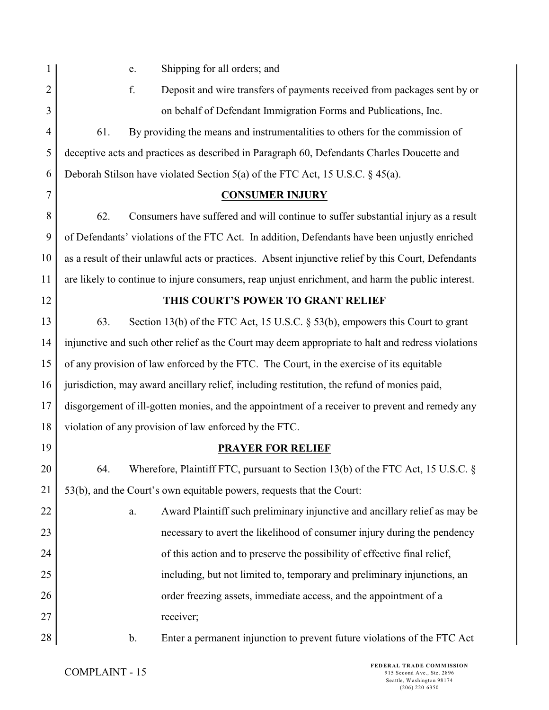1 2 3

e. Shipping for all orders; and

f. Deposit and wire transfers of payments received from packages sent by or on behalf of Defendant Immigration Forms and Publications, Inc.

4 5 6 61. By providing the means and instrumentalities to others for the commission of deceptive acts and practices as described in Paragraph 60, Defendants Charles Doucette and Deborah Stilson have violated Section 5(a) of the FTC Act, 15 U.S.C. § 45(a).

7

# **CONSUMER INJURY**

8 9 10 11 62. Consumers have suffered and will continue to suffer substantial injury as a result of Defendants' violations of the FTC Act. In addition, Defendants have been unjustly enriched as a result of their unlawful acts or practices. Absent injunctive relief by this Court, Defendants are likely to continue to injure consumers, reap unjust enrichment, and harm the public interest.

12

# **THIS COURT'S POWER TO GRANT RELIEF**

13 14 15 16 17 18 63. Section 13(b) of the FTC Act, 15 U.S.C. § 53(b), empowers this Court to grant injunctive and such other relief as the Court may deem appropriate to halt and redress violations of any provision of law enforced by the FTC. The Court, in the exercise of its equitable jurisdiction, may award ancillary relief, including restitution, the refund of monies paid, disgorgement of ill-gotten monies, and the appointment of a receiver to prevent and remedy any violation of any provision of law enforced by the FTC.

19

# **PRAYER FOR RELIEF**

20 21 64. Wherefore, Plaintiff FTC, pursuant to Section 13(b) of the FTC Act, 15 U.S.C. § 53(b), and the Court's own equitable powers, requests that the Court:

22 23 24 25 26 27 a. Award Plaintiff such preliminary injunctive and ancillary relief as may be necessary to avert the likelihood of consumer injury during the pendency of this action and to preserve the possibility of effective final relief, including, but not limited to, temporary and preliminary injunctions, an order freezing assets, immediate access, and the appointment of a receiver;

28

b. Enter a permanent injunction to prevent future violations of the FTC Act